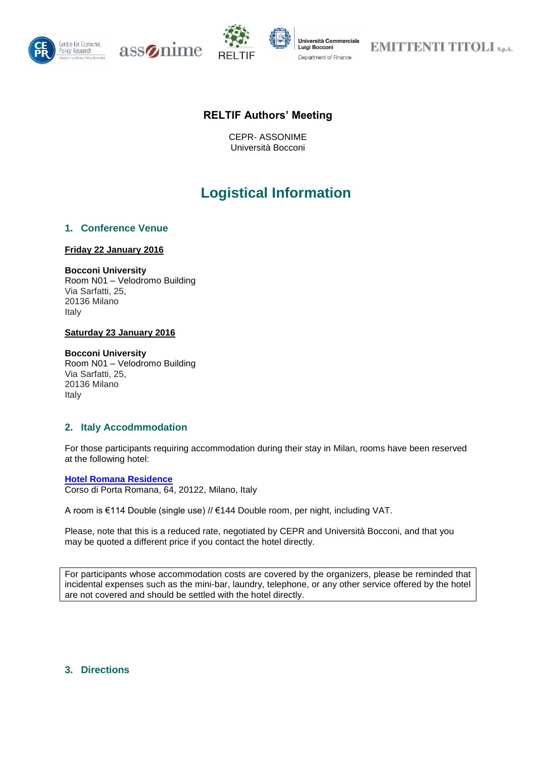







**EMITTENTI TITOLI S.p.A.** 

## **RELTIF Authors' Meeting**

CEPR- ASSONIME Università Bocconi

# **Logistical Information**

## **1. Conference Venue**

## **Friday 22 January 2016**

## **Bocconi University**

Room N01 – Velodromo Building Via Sarfatti, 25, 20136 Milano Italy

## **Saturday 23 January 2016**

#### **Bocconi University**

Room N01 – Velodromo Building Via Sarfatti, 25, 20136 Milano Italy

## **2. Italy Accodmmodation**

For those participants requiring accommodation during their stay in Milan, rooms have been reserved at the following hotel:

#### **[Hotel Romana Residence](http://www.hotelromanaresidence.it/index.php)**

Corso di Porta Romana, 64, 20122, Milano, Italy

A room is €114 Double (single use) // €144 Double room, per night, including VAT.

Please, note that this is a reduced rate, negotiated by CEPR and Università Bocconi, and that you may be quoted a different price if you contact the hotel directly.

For participants whose accommodation costs are covered by the organizers, please be reminded that incidental expenses such as the mini-bar, laundry, telephone, or any other service offered by the hotel are not covered and should be settled with the hotel directly.

## **3. Directions**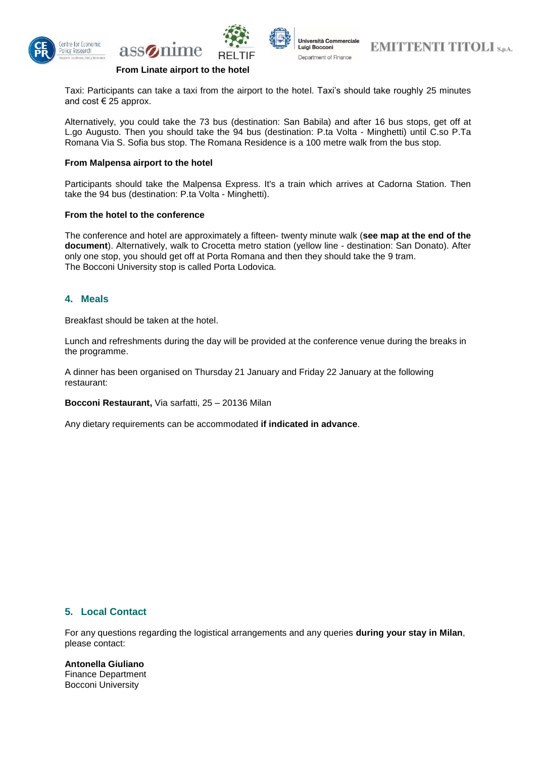





**EMITTENTI TITOLI SDAL** 

## **From Linate airport to the hotel**

assomme

Taxi: Participants can take a taxi from the airport to the hotel. Taxi's should take roughly 25 minutes and cost  $\in$  25 approx.

Alternatively, you could take the 73 bus (destination: San Babila) and after 16 bus stops, get off at L.go Augusto. Then you should take the 94 bus (destination: P.ta Volta - Minghetti) until C.so P.Ta Romana Via S. Sofia bus stop. The Romana Residence is a 100 metre walk from the bus stop.

#### **From Malpensa airport to the hotel**

Participants should take the Malpensa Express. It's a train which arrives at Cadorna Station. Then take the 94 bus (destination: P.ta Volta - Minghetti).

#### **From the hotel to the conference**

The conference and hotel are approximately a fifteen- twenty minute walk (**see map at the end of the document**). Alternatively, walk to Crocetta metro station (yellow line - destination: San Donato). After only one stop, you should get off at Porta Romana and then they should take the 9 tram. The Bocconi University stop is called Porta Lodovica.

#### **4. Meals**

Breakfast should be taken at the hotel.

Lunch and refreshments during the day will be provided at the conference venue during the breaks in the programme.

A dinner has been organised on Thursday 21 January and Friday 22 January at the following restaurant:

**Bocconi Restaurant,** Via sarfatti, 25 – 20136 Milan

Any dietary requirements can be accommodated **if indicated in advance**.

## **5. Local Contact**

For any questions regarding the logistical arrangements and any queries **during your stay in Milan**, please contact:

**Antonella Giuliano** Finance Department Bocconi University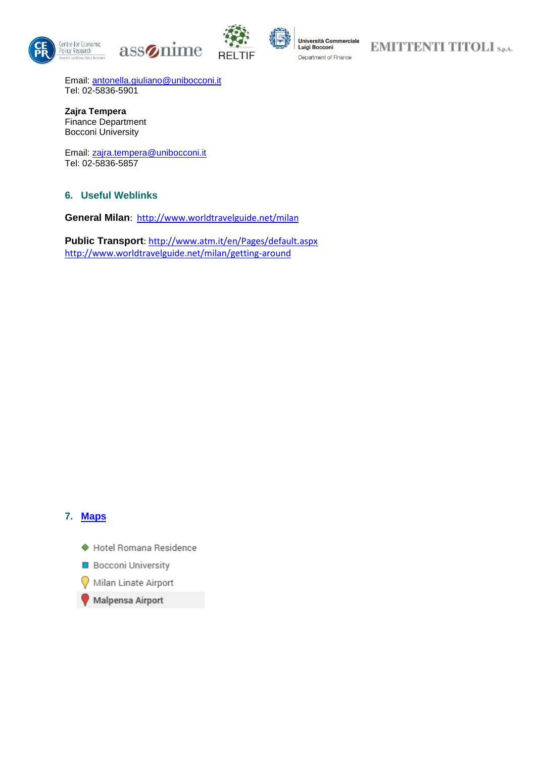





## **EMITTENTI TITOLI** S.p.A.

Email: [antonella.giuliano@unibocconi.it](mailto:antonella.giuliano@unibocconi.it) Tel: 02-5836-5901

**Zajra Tempera** Finance Department Bocconi University

Email: [zajra.tempera@unibocconi.it](mailto:zajra.tempera@unibocconi.it) Tel: 02-5836-5857

## **6. Useful Weblinks**

**General Milan**: <http://www.worldtravelguide.net/milan>

**Public Transport**:<http://www.atm.it/en/Pages/default.aspx> <http://www.worldtravelguide.net/milan/getting-around>

## **7. [Maps](https://www.google.com/maps/d/edit?mid=zeMWXZEoBXj0.kS6oSFC7w_V0&usp=sharing)**

- ◆ Hotel Romana Residence
- **Bocconi University**
- Milan Linate Airport
- Malpensa Airport